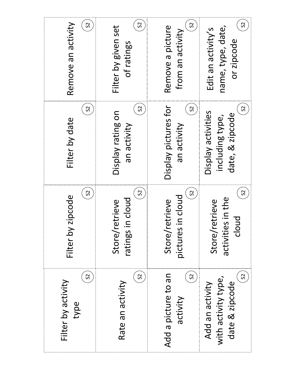| Remove an activity<br>S          | S <sub>2</sub><br>Filter by given set<br>of ratings | S <sub>2</sub><br>Remove a picture<br>from an activity | S <sub>2</sub><br>name, type, date,<br>Edit an activity's<br>or zipcode    |
|----------------------------------|-----------------------------------------------------|--------------------------------------------------------|----------------------------------------------------------------------------|
| S <sub>2</sub><br>Filter by date | S <sub>2</sub><br>Display rating on<br>an activity  | Display pictures for<br>S <sub>2</sub><br>an activity  | S <sub>2</sub><br>Display activities<br>date, & zipcode<br>including type, |
| S<br>Filter by zipcode           | S<br>in cloud<br>retrieve<br>Store/<br>ratings      | S <sub>2</sub><br>pictures in cloud<br>Store/retrieve  | S <sub>2</sub><br>ies in the<br>retrieve<br>cloud<br>Store/<br>activiti    |
| S<br>Filter by activity<br>type  | S <sub>2</sub><br>Rate an activity                  | S<br>Add a picture to an<br>activity                   | S<br>with activity type,<br>date & zipcode<br>Add an activity              |